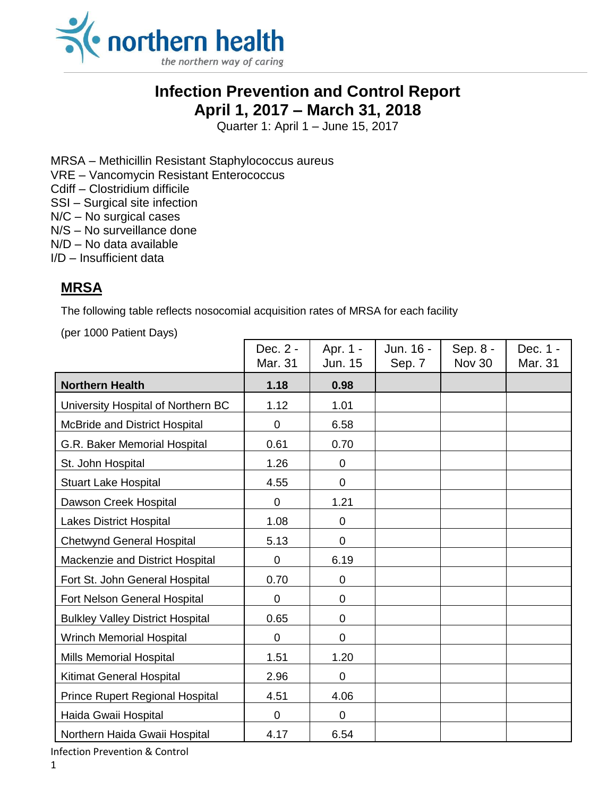

## **Infection Prevention and Control Report April 1, 2017 – March 31, 2018**

Quarter 1: April 1 – June 15, 2017

MRSA – Methicillin Resistant Staphylococcus aureus

VRE – Vancomycin Resistant Enterococcus

Cdiff – Clostridium difficile

SSI – Surgical site infection

N/C – No surgical cases

N/S – No surveillance done

- N/D No data available
- I/D Insufficient data

## **MRSA**

The following table reflects nosocomial acquisition rates of MRSA for each facility

(per 1000 Patient Days)

|                                         | Dec. 2 -<br>Mar. 31 | Apr. 1 -<br>Jun. 15 | Jun. 16 -<br>Sep. 7 | Sep. 8 -<br><b>Nov 30</b> | Dec. 1 -<br>Mar. 31 |
|-----------------------------------------|---------------------|---------------------|---------------------|---------------------------|---------------------|
| <b>Northern Health</b>                  | 1.18                | 0.98                |                     |                           |                     |
| University Hospital of Northern BC      | 1.12                | 1.01                |                     |                           |                     |
| McBride and District Hospital           | 0                   | 6.58                |                     |                           |                     |
| G.R. Baker Memorial Hospital            | 0.61                | 0.70                |                     |                           |                     |
| St. John Hospital                       | 1.26                | $\overline{0}$      |                     |                           |                     |
| <b>Stuart Lake Hospital</b>             | 4.55                | $\overline{0}$      |                     |                           |                     |
| Dawson Creek Hospital                   | $\mathbf 0$         | 1.21                |                     |                           |                     |
| <b>Lakes District Hospital</b>          | 1.08                | $\overline{0}$      |                     |                           |                     |
| <b>Chetwynd General Hospital</b>        | 5.13                | $\mathbf 0$         |                     |                           |                     |
| Mackenzie and District Hospital         | 0                   | 6.19                |                     |                           |                     |
| Fort St. John General Hospital          | 0.70                | $\overline{0}$      |                     |                           |                     |
| Fort Nelson General Hospital            | 0                   | 0                   |                     |                           |                     |
| <b>Bulkley Valley District Hospital</b> | 0.65                | $\mathbf 0$         |                     |                           |                     |
| <b>Wrinch Memorial Hospital</b>         | $\overline{0}$      | $\mathbf 0$         |                     |                           |                     |
| Mills Memorial Hospital                 | 1.51                | 1.20                |                     |                           |                     |
| Kitimat General Hospital                | 2.96                | $\mathbf 0$         |                     |                           |                     |
| Prince Rupert Regional Hospital         | 4.51                | 4.06                |                     |                           |                     |
| Haida Gwaii Hospital                    | $\mathbf 0$         | $\mathbf 0$         |                     |                           |                     |
| Northern Haida Gwaii Hospital           | 4.17                | 6.54                |                     |                           |                     |

Infection Prevention & Control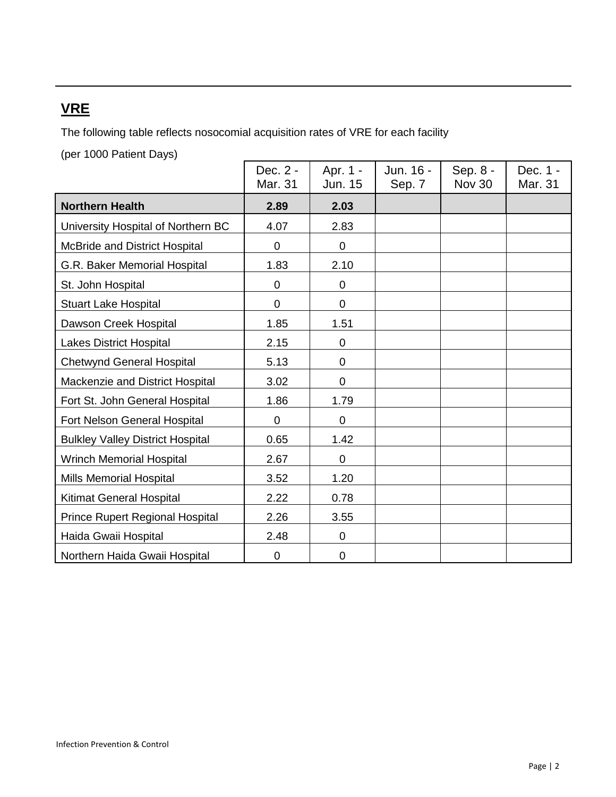# **VRE**

The following table reflects nosocomial acquisition rates of VRE for each facility

(per 1000 Patient Days)

|                                         | Dec. 2 -<br>Mar. 31 | Apr. 1 -<br><b>Jun. 15</b> | Jun. 16 -<br>Sep. 7 | Sep. 8 -<br><b>Nov 30</b> | Dec. 1 -<br>Mar. 31 |
|-----------------------------------------|---------------------|----------------------------|---------------------|---------------------------|---------------------|
| <b>Northern Health</b>                  | 2.89                | 2.03                       |                     |                           |                     |
| University Hospital of Northern BC      | 4.07                | 2.83                       |                     |                           |                     |
| <b>McBride and District Hospital</b>    | 0                   | 0                          |                     |                           |                     |
| G.R. Baker Memorial Hospital            | 1.83                | 2.10                       |                     |                           |                     |
| St. John Hospital                       | $\mathbf 0$         | 0                          |                     |                           |                     |
| <b>Stuart Lake Hospital</b>             | $\mathbf 0$         | $\mathbf 0$                |                     |                           |                     |
| Dawson Creek Hospital                   | 1.85                | 1.51                       |                     |                           |                     |
| <b>Lakes District Hospital</b>          | 2.15                | 0                          |                     |                           |                     |
| <b>Chetwynd General Hospital</b>        | 5.13                | 0                          |                     |                           |                     |
| Mackenzie and District Hospital         | 3.02                | 0                          |                     |                           |                     |
| Fort St. John General Hospital          | 1.86                | 1.79                       |                     |                           |                     |
| Fort Nelson General Hospital            | $\mathbf 0$         | $\mathbf 0$                |                     |                           |                     |
| <b>Bulkley Valley District Hospital</b> | 0.65                | 1.42                       |                     |                           |                     |
| <b>Wrinch Memorial Hospital</b>         | 2.67                | $\mathbf 0$                |                     |                           |                     |
| Mills Memorial Hospital                 | 3.52                | 1.20                       |                     |                           |                     |
| Kitimat General Hospital                | 2.22                | 0.78                       |                     |                           |                     |
| <b>Prince Rupert Regional Hospital</b>  | 2.26                | 3.55                       |                     |                           |                     |
| Haida Gwaii Hospital                    | 2.48                | 0                          |                     |                           |                     |
| Northern Haida Gwaii Hospital           | $\mathbf 0$         | 0                          |                     |                           |                     |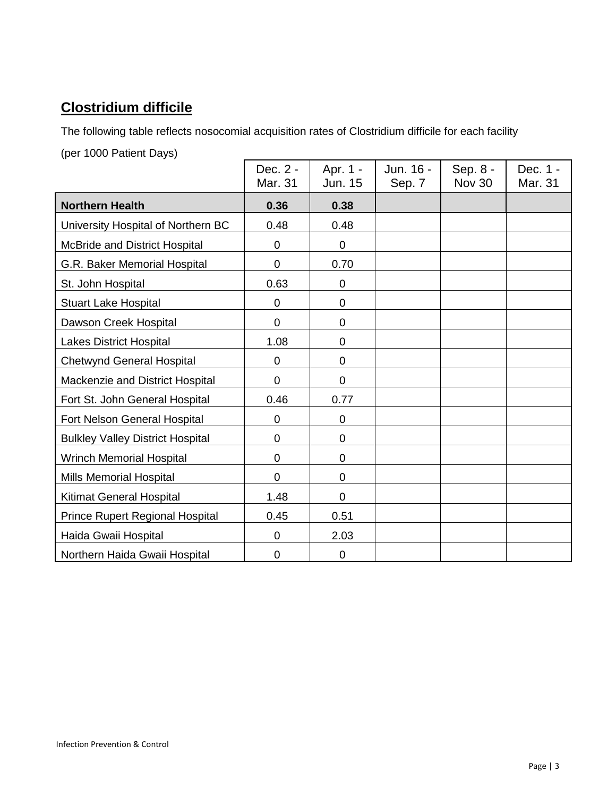# **Clostridium difficile**

The following table reflects nosocomial acquisition rates of Clostridium difficile for each facility

(per 1000 Patient Days)

|                                         | Dec. 2 -<br>Mar. 31 | Apr. 1 -<br>Jun. 15 | Jun. 16 -<br>Sep. 7 | Sep. 8 -<br>Nov 30 | Dec. 1 -<br>Mar. 31 |
|-----------------------------------------|---------------------|---------------------|---------------------|--------------------|---------------------|
| <b>Northern Health</b>                  | 0.36                | 0.38                |                     |                    |                     |
| University Hospital of Northern BC      | 0.48                | 0.48                |                     |                    |                     |
| McBride and District Hospital           | 0                   | $\mathbf 0$         |                     |                    |                     |
| G.R. Baker Memorial Hospital            | 0                   | 0.70                |                     |                    |                     |
| St. John Hospital                       | 0.63                | 0                   |                     |                    |                     |
| Stuart Lake Hospital                    | $\mathbf 0$         | $\mathbf 0$         |                     |                    |                     |
| Dawson Creek Hospital                   | $\mathbf 0$         | 0                   |                     |                    |                     |
| <b>Lakes District Hospital</b>          | 1.08                | 0                   |                     |                    |                     |
| <b>Chetwynd General Hospital</b>        | 0                   | 0                   |                     |                    |                     |
| Mackenzie and District Hospital         | $\overline{0}$      | 0                   |                     |                    |                     |
| Fort St. John General Hospital          | 0.46                | 0.77                |                     |                    |                     |
| Fort Nelson General Hospital            | $\mathbf 0$         | $\mathbf 0$         |                     |                    |                     |
| <b>Bulkley Valley District Hospital</b> | 0                   | 0                   |                     |                    |                     |
| <b>Wrinch Memorial Hospital</b>         | 0                   | 0                   |                     |                    |                     |
| Mills Memorial Hospital                 | $\overline{0}$      | 0                   |                     |                    |                     |
| Kitimat General Hospital                | 1.48                | 0                   |                     |                    |                     |
| <b>Prince Rupert Regional Hospital</b>  | 0.45                | 0.51                |                     |                    |                     |
| Haida Gwaii Hospital                    | 0                   | 2.03                |                     |                    |                     |
| Northern Haida Gwaii Hospital           | 0                   | 0                   |                     |                    |                     |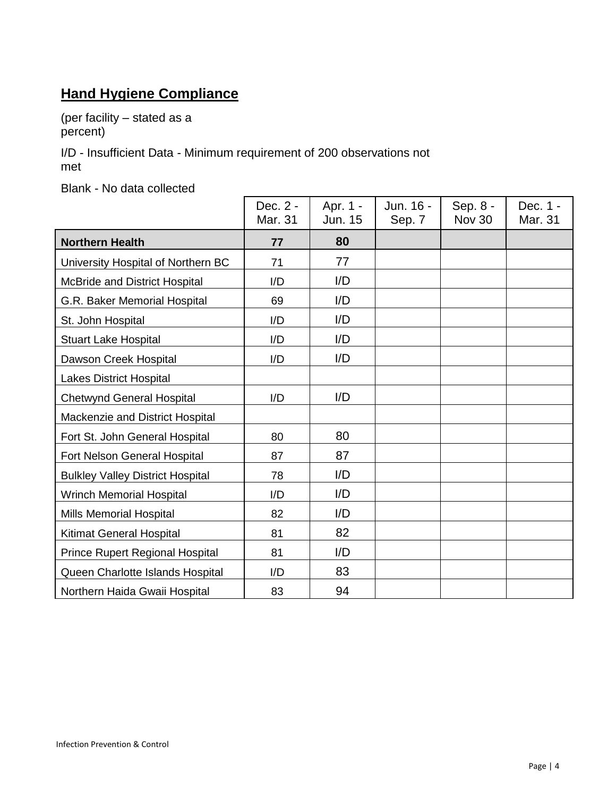# **Hand Hygiene Compliance**

(per facility – stated as a percent)

I/D - Insufficient Data - Minimum requirement of 200 observations not met

Blank - No data collected

|                                         | Dec. 2 -<br>Mar. 31 | Apr. 1 -<br>Jun. 15 | Jun. 16 -<br>Sep. 7 | Sep. 8 -<br><b>Nov 30</b> | Dec. 1 -<br>Mar. 31 |
|-----------------------------------------|---------------------|---------------------|---------------------|---------------------------|---------------------|
| <b>Northern Health</b>                  | 77                  | 80                  |                     |                           |                     |
| University Hospital of Northern BC      | 71                  | 77                  |                     |                           |                     |
| McBride and District Hospital           | I/D                 | I/D                 |                     |                           |                     |
| G.R. Baker Memorial Hospital            | 69                  | I/D                 |                     |                           |                     |
| St. John Hospital                       | I/D                 | I/D                 |                     |                           |                     |
| <b>Stuart Lake Hospital</b>             | I/D                 | I/D                 |                     |                           |                     |
| Dawson Creek Hospital                   | I/D                 | I/D                 |                     |                           |                     |
| <b>Lakes District Hospital</b>          |                     |                     |                     |                           |                     |
| <b>Chetwynd General Hospital</b>        | I/D                 | I/D                 |                     |                           |                     |
| Mackenzie and District Hospital         |                     |                     |                     |                           |                     |
| Fort St. John General Hospital          | 80                  | 80                  |                     |                           |                     |
| Fort Nelson General Hospital            | 87                  | 87                  |                     |                           |                     |
| <b>Bulkley Valley District Hospital</b> | 78                  | I/D                 |                     |                           |                     |
| <b>Wrinch Memorial Hospital</b>         | I/D                 | I/D                 |                     |                           |                     |
| Mills Memorial Hospital                 | 82                  | I/D                 |                     |                           |                     |
| <b>Kitimat General Hospital</b>         | 81                  | 82                  |                     |                           |                     |
| Prince Rupert Regional Hospital         | 81                  | I/D                 |                     |                           |                     |
| Queen Charlotte Islands Hospital        | I/D                 | 83                  |                     |                           |                     |
| Northern Haida Gwaii Hospital           | 83                  | 94                  |                     |                           |                     |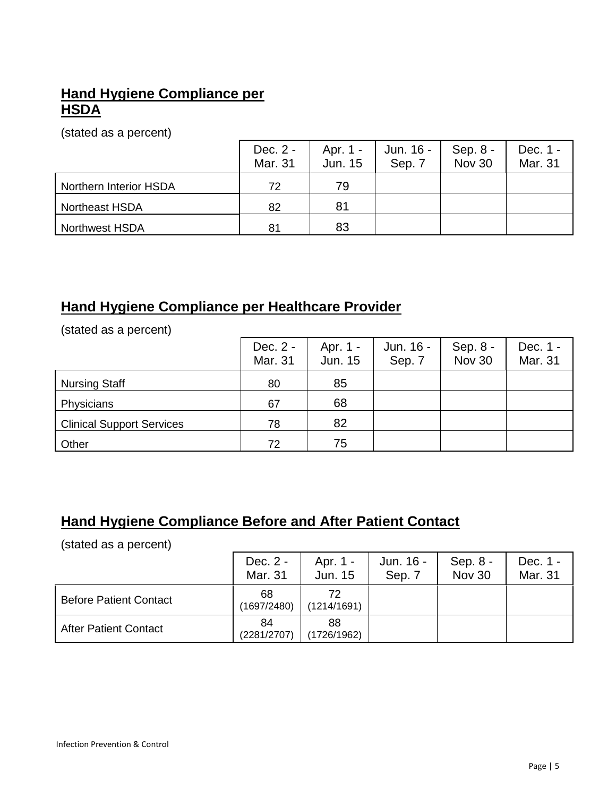## **Hand Hygiene Compliance per HSDA**

(stated as a percent)

|                        | Dec. 2 -<br>Mar. 31 | Apr. 1 -<br>Jun. 15 | Jun. 16 -<br>Sep. 7 | Sep. $8 -$<br>Nov 30 | Dec. 1 -<br>Mar. 31 |
|------------------------|---------------------|---------------------|---------------------|----------------------|---------------------|
| Northern Interior HSDA | 72                  | 79                  |                     |                      |                     |
| <b>Northeast HSDA</b>  | 82                  | 81                  |                     |                      |                     |
| <b>Northwest HSDA</b>  | 81                  | 83                  |                     |                      |                     |

## **Hand Hygiene Compliance per Healthcare Provider**

(stated as a percent)

|                                  | Dec. 2 -<br>Mar. 31 | Apr. 1 -<br>Jun. 15 | Jun. 16 -<br>Sep. 7 | Sep. 8 -<br>Nov 30 | Dec. 1 -<br>Mar. 31 |
|----------------------------------|---------------------|---------------------|---------------------|--------------------|---------------------|
| <b>Nursing Staff</b>             | 80                  | 85                  |                     |                    |                     |
| Physicians                       | 67                  | 68                  |                     |                    |                     |
| <b>Clinical Support Services</b> | 78                  | 82                  |                     |                    |                     |
| Other                            | 72                  | 75                  |                     |                    |                     |

# **Hand Hygiene Compliance Before and After Patient Contact**

(stated as a percent)

|                               | Dec. 2 -<br>Mar. 31 | Apr. 1 -<br>Jun. 15 | Jun. 16 -<br>Sep. 7 | Sep. 8 -<br>Nov 30 | Dec. 1 -<br>Mar. 31 |
|-------------------------------|---------------------|---------------------|---------------------|--------------------|---------------------|
| <b>Before Patient Contact</b> | 68<br>(1697/2480)   | 72<br>(1214/1691)   |                     |                    |                     |
| <b>After Patient Contact</b>  | 84<br>(2281/2707)   | 88<br>(1726/1962)   |                     |                    |                     |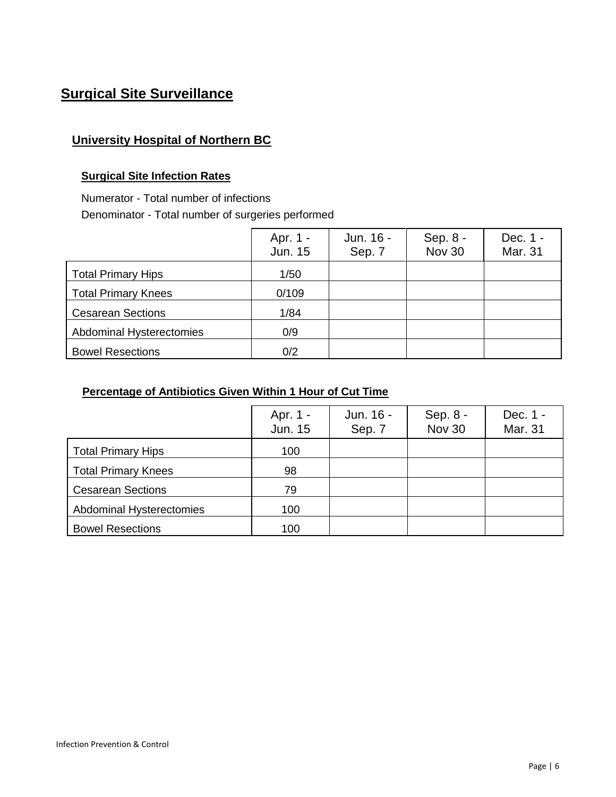# **Surgical Site Surveillance**

## **University Hospital of Northern BC**

#### **Surgical Site Infection Rates**

Numerator - Total number of infections

Denominator - Total number of surgeries performed

|                                 | Apr. 1 -<br>Jun. 15 | Jun. 16 -<br>Sep. 7 | Sep. 8 -<br><b>Nov 30</b> | Dec. 1 -<br>Mar. 31 |
|---------------------------------|---------------------|---------------------|---------------------------|---------------------|
| <b>Total Primary Hips</b>       | 1/50                |                     |                           |                     |
| <b>Total Primary Knees</b>      | 0/109               |                     |                           |                     |
| <b>Cesarean Sections</b>        | 1/84                |                     |                           |                     |
| <b>Abdominal Hysterectomies</b> | 0/9                 |                     |                           |                     |
| <b>Bowel Resections</b>         | 0/2                 |                     |                           |                     |

|                            | Apr. 1 -<br>Jun. 15 | Jun. 16 -<br>Sep. 7 | Sep. 8 -<br><b>Nov 30</b> | Dec. 1 -<br>Mar. 31 |
|----------------------------|---------------------|---------------------|---------------------------|---------------------|
| <b>Total Primary Hips</b>  | 100                 |                     |                           |                     |
| <b>Total Primary Knees</b> | 98                  |                     |                           |                     |
| <b>Cesarean Sections</b>   | 79                  |                     |                           |                     |
| Abdominal Hysterectomies   | 100                 |                     |                           |                     |
| <b>Bowel Resections</b>    | 100                 |                     |                           |                     |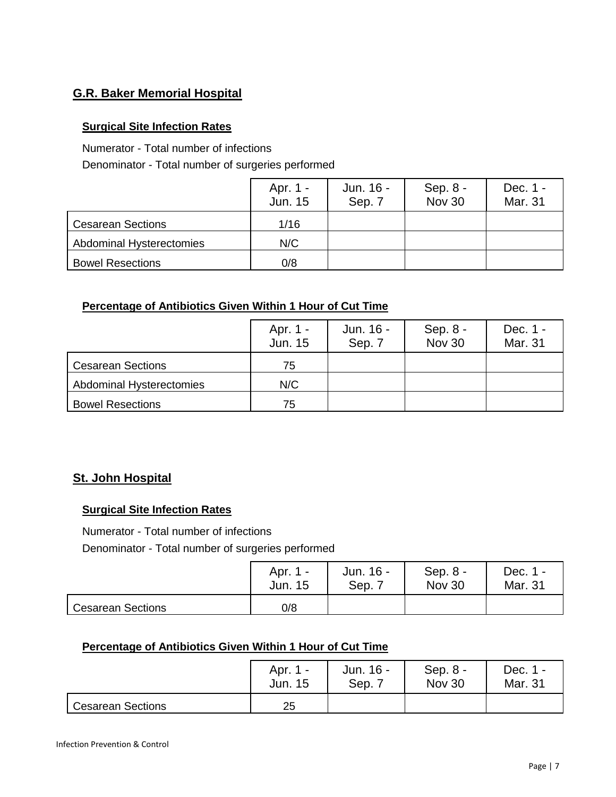## **G.R. Baker Memorial Hospital**

#### **Surgical Site Infection Rates**

Numerator - Total number of infections

Denominator - Total number of surgeries performed

|                                 | Apr. 1 -<br>Jun. 15 | Jun. 16 -<br>Sep. 7 | Sep. $8 -$<br><b>Nov 30</b> | Dec. 1 -<br>Mar. 31 |
|---------------------------------|---------------------|---------------------|-----------------------------|---------------------|
| <b>Cesarean Sections</b>        | 1/16                |                     |                             |                     |
| <b>Abdominal Hysterectomies</b> | N/C                 |                     |                             |                     |
| <b>Bowel Resections</b>         | 0/8                 |                     |                             |                     |

#### **Percentage of Antibiotics Given Within 1 Hour of Cut Time**

|                          | Apr. 1 -<br><b>Jun. 15</b> | Jun. 16 -<br>Sep. 7 | Sep. 8 -<br><b>Nov 30</b> | Dec. 1 -<br>Mar. 31 |
|--------------------------|----------------------------|---------------------|---------------------------|---------------------|
| <b>Cesarean Sections</b> | 75                         |                     |                           |                     |
| Abdominal Hysterectomies | N/C                        |                     |                           |                     |
| <b>Bowel Resections</b>  | 75                         |                     |                           |                     |

## **St. John Hospital**

#### **Surgical Site Infection Rates**

Numerator - Total number of infections

Denominator - Total number of surgeries performed

|                          | Apr. 1 - | Jun. 16 - | Sep. $8 -$    | Dec. 1 - |
|--------------------------|----------|-----------|---------------|----------|
|                          | Jun. 15  | Sep.      | <b>Nov 30</b> | Mar. 31  |
| <b>Cesarean Sections</b> | 0/8      |           |               |          |

|                          | Apr. 1 - | Jun. 16 - | Sep. 8 -      | Dec. 1  |
|--------------------------|----------|-----------|---------------|---------|
|                          | Jun. 15  | Sep.      | <b>Nov 30</b> | Mar. 31 |
| <b>Cesarean Sections</b> | 25       |           |               |         |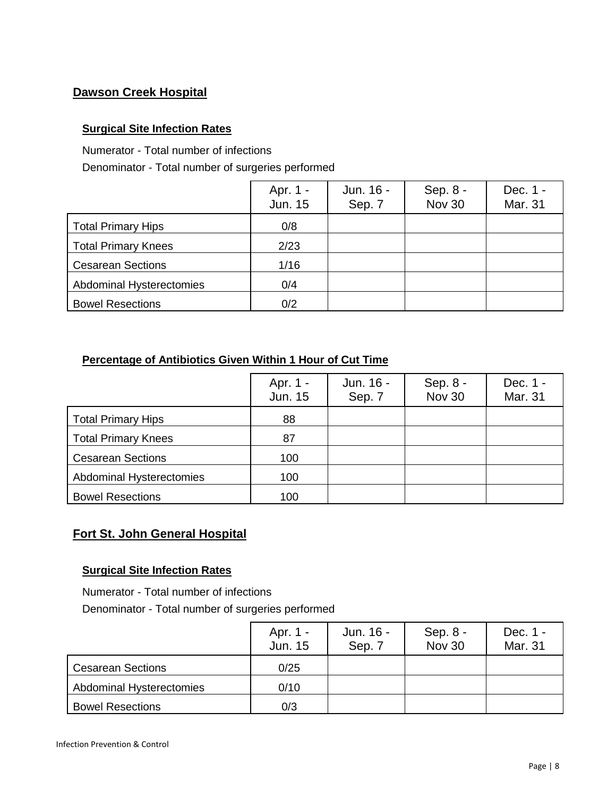## **Dawson Creek Hospital**

#### **Surgical Site Infection Rates**

Numerator - Total number of infections

Denominator - Total number of surgeries performed

|                            | Apr. 1 -<br>Jun. 15 | Jun. 16 -<br>Sep. 7 | Sep. 8 -<br><b>Nov 30</b> | Dec. 1 -<br>Mar. 31 |
|----------------------------|---------------------|---------------------|---------------------------|---------------------|
| <b>Total Primary Hips</b>  | 0/8                 |                     |                           |                     |
| <b>Total Primary Knees</b> | 2/23                |                     |                           |                     |
| <b>Cesarean Sections</b>   | 1/16                |                     |                           |                     |
| Abdominal Hysterectomies   | 0/4                 |                     |                           |                     |
| <b>Bowel Resections</b>    | 0/2                 |                     |                           |                     |

#### **Percentage of Antibiotics Given Within 1 Hour of Cut Time**

|                            | Apr. 1 -<br>Jun. 15 | Jun. 16 -<br>Sep. 7 | Sep. 8 -<br><b>Nov 30</b> | Dec. 1 -<br>Mar. 31 |
|----------------------------|---------------------|---------------------|---------------------------|---------------------|
| <b>Total Primary Hips</b>  | 88                  |                     |                           |                     |
| <b>Total Primary Knees</b> | 87                  |                     |                           |                     |
| <b>Cesarean Sections</b>   | 100                 |                     |                           |                     |
| Abdominal Hysterectomies   | 100                 |                     |                           |                     |
| <b>Bowel Resections</b>    | 100                 |                     |                           |                     |

## **Fort St. John General Hospital**

#### **Surgical Site Infection Rates**

 Numerator - Total number of infections Denominator - Total number of surgeries performed

|                          | Apr. 1 -<br>Jun. 15 | Jun. 16 -<br>Sep. 7 | Sep. 8 -<br><b>Nov 30</b> | Dec. 1 -<br>Mar. 31 |
|--------------------------|---------------------|---------------------|---------------------------|---------------------|
| <b>Cesarean Sections</b> | 0/25                |                     |                           |                     |
| Abdominal Hysterectomies | 0/10                |                     |                           |                     |
| <b>Bowel Resections</b>  | 0/3                 |                     |                           |                     |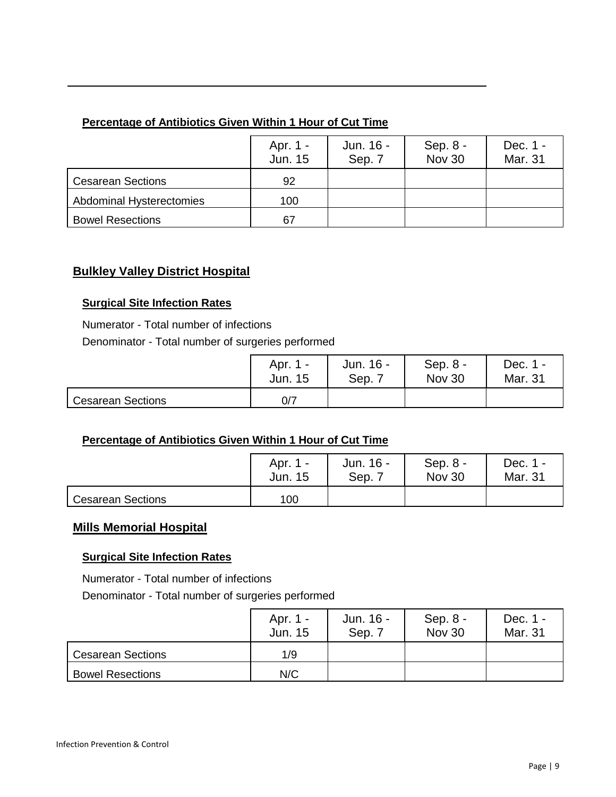### **Percentage of Antibiotics Given Within 1 Hour of Cut Time**

|                          | Apr. 1 -<br>Jun. 15 | Jun. 16 -<br>Sep. 7 | Sep. 8 -<br>Nov 30 | Dec. 1 -<br>Mar. 31 |
|--------------------------|---------------------|---------------------|--------------------|---------------------|
| <b>Cesarean Sections</b> | 92                  |                     |                    |                     |
| Abdominal Hysterectomies | 100                 |                     |                    |                     |
| <b>Bowel Resections</b>  | 67                  |                     |                    |                     |

## **Bulkley Valley District Hospital**

#### **Surgical Site Infection Rates**

 Numerator - Total number of infections Denominator - Total number of surgeries performed

|                          | Apr. 1 - | Jun. 16 - | Sep. $8 -$    | Dec. 1 - |
|--------------------------|----------|-----------|---------------|----------|
|                          | Jun. 15  | Sep.      | <b>Nov 30</b> | Mar. 31  |
| <b>Cesarean Sections</b> | 0/7      |           |               |          |

#### **Percentage of Antibiotics Given Within 1 Hour of Cut Time**

|                          | Apr. 1 - | Jun. 16 - | Sep. $8 -$    | Dec. 1 - |
|--------------------------|----------|-----------|---------------|----------|
|                          | Jun. 15  | Sep. 7    | <b>Nov 30</b> | Mar. 31  |
| <b>Cesarean Sections</b> | 100      |           |               |          |

## **Mills Memorial Hospital**

#### **Surgical Site Infection Rates**

Numerator - Total number of infections

Denominator - Total number of surgeries performed

|                          | Apr. 1 -<br>Jun. 15 | Jun. 16 -<br>Sep. 7 | Sep. $8 -$<br><b>Nov 30</b> | Dec. 1 -<br>Mar. 31 |
|--------------------------|---------------------|---------------------|-----------------------------|---------------------|
| <b>Cesarean Sections</b> | 1/9                 |                     |                             |                     |
| <b>Bowel Resections</b>  | N/C                 |                     |                             |                     |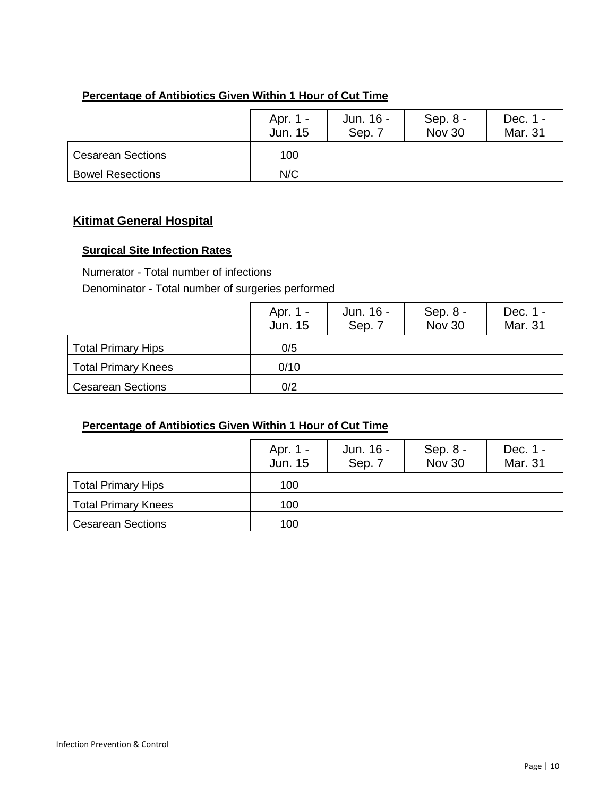### **Percentage of Antibiotics Given Within 1 Hour of Cut Time**

|                          | Apr. 1 -<br>Jun. 15 | Jun. 16 -<br>Sep. 7 | Sep. 8 -<br><b>Nov 30</b> | Dec. 1 -<br>Mar. 31 |
|--------------------------|---------------------|---------------------|---------------------------|---------------------|
| <b>Cesarean Sections</b> | 100                 |                     |                           |                     |
| <b>Bowel Resections</b>  | N/C                 |                     |                           |                     |

## **Kitimat General Hospital**

#### **Surgical Site Infection Rates**

Numerator - Total number of infections

Denominator - Total number of surgeries performed

|                            | Apr. 1 -<br>Jun. 15 | Jun. 16 -<br>Sep. 7 | Sep. $8 -$<br>Nov 30 | Dec. 1 -<br>Mar. 31 |
|----------------------------|---------------------|---------------------|----------------------|---------------------|
| <b>Total Primary Hips</b>  | 0/5                 |                     |                      |                     |
| <b>Total Primary Knees</b> | 0/10                |                     |                      |                     |
| <b>Cesarean Sections</b>   | 0/2                 |                     |                      |                     |

|                            | Apr. 1 -<br>Jun. 15 | Jun. 16 -<br>Sep. 7 | Sep. $8 -$<br><b>Nov 30</b> | Dec. 1 -<br>Mar. 31 |
|----------------------------|---------------------|---------------------|-----------------------------|---------------------|
| <b>Total Primary Hips</b>  | 100                 |                     |                             |                     |
| <b>Total Primary Knees</b> | 100                 |                     |                             |                     |
| <b>Cesarean Sections</b>   | 100                 |                     |                             |                     |